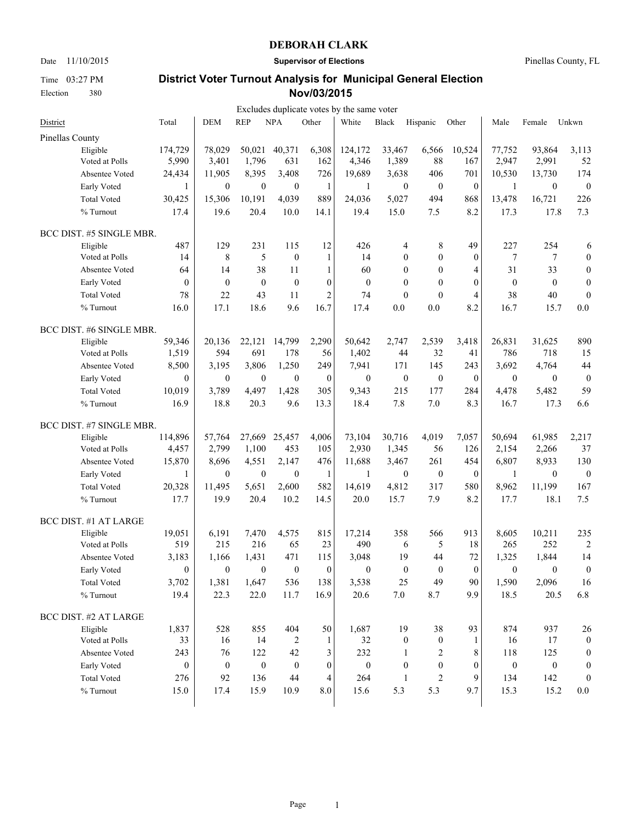Date 11/10/2015 **Supervisor of Elections** Pinellas County, FL

Time 03:27 PM Election 380

|                          |                  |                  |                  |                  |                  | Excludes duplicate votes by the same voter |                  |                  |                  |                  |                  |                  |
|--------------------------|------------------|------------------|------------------|------------------|------------------|--------------------------------------------|------------------|------------------|------------------|------------------|------------------|------------------|
| District                 | Total            | <b>DEM</b>       | <b>REP</b>       | <b>NPA</b>       | Other            | White                                      | Black            | Hispanic         | Other            | Male             | Female           | Unkwn            |
| Pinellas County          |                  |                  |                  |                  |                  |                                            |                  |                  |                  |                  |                  |                  |
| Eligible                 | 174,729          | 78,029           | 50,021           | 40,371           | 6,308            | 124,172                                    | 33,467           | 6,566            | 10,524           | 77,752           | 93,864           | 3,113            |
| Voted at Polls           | 5,990            | 3,401            | 1,796            | 631              | 162              | 4,346                                      | 1,389            | 88               | 167              | 2,947            | 2,991            | 52               |
| Absentee Voted           | 24,434           | 11,905           | 8,395            | 3,408            | 726              | 19,689                                     | 3,638            | 406              | 701              | 10,530           | 13,730           | 174              |
| Early Voted              | 1                | $\boldsymbol{0}$ | $\boldsymbol{0}$ | $\mathbf{0}$     | $\mathbf{1}$     | 1                                          | $\mathbf{0}$     | $\boldsymbol{0}$ | $\boldsymbol{0}$ | $\mathbf{1}$     | $\boldsymbol{0}$ | $\boldsymbol{0}$ |
| <b>Total Voted</b>       | 30,425           | 15,306           | 10,191           | 4,039            | 889              | 24,036                                     | 5,027            | 494              | 868              | 13,478           | 16,721           | 226              |
| % Turnout                | 17.4             | 19.6             | 20.4             | 10.0             | 14.1             | 19.4                                       | 15.0             | 7.5              | 8.2              | 17.3             | 17.8             | 7.3              |
| BCC DIST. #5 SINGLE MBR. |                  |                  |                  |                  |                  |                                            |                  |                  |                  |                  |                  |                  |
| Eligible                 | 487              | 129              | 231              | 115              | 12               | 426                                        | 4                | 8                | 49               | 227              | 254              | 6                |
| Voted at Polls           | 14               | 8                | 5                | $\overline{0}$   | $\mathbf{1}$     | 14                                         | $\mathbf{0}$     | $\mathbf{0}$     | $\theta$         | 7                | 7                | $\boldsymbol{0}$ |
| Absentee Voted           | 64               | 14               | 38               | 11               | $\mathbf{1}$     | 60                                         | $\theta$         | $\boldsymbol{0}$ | $\overline{4}$   | 31               | 33               | $\boldsymbol{0}$ |
| Early Voted              | $\mathbf{0}$     | $\boldsymbol{0}$ | $\boldsymbol{0}$ | $\mathbf{0}$     | $\mathbf{0}$     | $\boldsymbol{0}$                           | $\mathbf{0}$     | $\boldsymbol{0}$ | $\theta$         | $\boldsymbol{0}$ | $\mathbf{0}$     | $\boldsymbol{0}$ |
| <b>Total Voted</b>       | 78               | 22               | 43               | 11               | $\overline{c}$   | 74                                         | $\mathbf{0}$     | $\mathbf{0}$     | $\overline{4}$   | 38               | 40               | $\boldsymbol{0}$ |
| % Turnout                | 16.0             | 17.1             | 18.6             | 9.6              | 16.7             | 17.4                                       | 0.0              | 0.0              | 8.2              | 16.7             | 15.7             | 0.0              |
| BCC DIST. #6 SINGLE MBR. |                  |                  |                  |                  |                  |                                            |                  |                  |                  |                  |                  |                  |
| Eligible                 | 59,346           | 20,136           | 22,121           | 14,799           | 2,290            | 50,642                                     | 2,747            | 2,539            | 3,418            | 26,831           | 31,625           | 890              |
| Voted at Polls           | 1,519            | 594              | 691              | 178              | 56               | 1,402                                      | 44               | 32               | 41               | 786              | 718              | 15               |
| Absentee Voted           | 8,500            | 3,195            | 3,806            | 1,250            | 249              | 7,941                                      | 171              | 145              | 243              | 3,692            | 4,764            | 44               |
| Early Voted              | $\theta$         | $\boldsymbol{0}$ | $\boldsymbol{0}$ | $\boldsymbol{0}$ | $\boldsymbol{0}$ | $\boldsymbol{0}$                           | $\boldsymbol{0}$ | $\boldsymbol{0}$ | $\boldsymbol{0}$ | $\boldsymbol{0}$ | $\boldsymbol{0}$ | $\boldsymbol{0}$ |
| <b>Total Voted</b>       | 10,019           | 3,789            | 4,497            | 1,428            | 305              | 9,343                                      | 215              | 177              | 284              | 4,478            | 5,482            | 59               |
| % Turnout                | 16.9             | 18.8             | 20.3             | 9.6              | 13.3             | 18.4                                       | 7.8              | 7.0              | 8.3              | 16.7             | 17.3             | 6.6              |
| BCC DIST. #7 SINGLE MBR. |                  |                  |                  |                  |                  |                                            |                  |                  |                  |                  |                  |                  |
| Eligible                 | 114,896          | 57,764           | 27,669           | 25,457           | 4,006            | 73,104                                     | 30,716           | 4,019            | 7,057            | 50,694           | 61,985           | 2,217            |
| Voted at Polls           | 4,457            | 2,799            | 1,100            | 453              | 105              | 2,930                                      | 1,345            | 56               | 126              | 2,154            | 2,266            | 37               |
| Absentee Voted           | 15,870           | 8,696            | 4,551            | 2,147            | 476              | 11,688                                     | 3,467            | 261              | 454              | 6,807            | 8,933            | 130              |
| Early Voted              | $\mathbf{1}$     | $\boldsymbol{0}$ | $\boldsymbol{0}$ | $\mathbf{0}$     | $\mathbf{1}$     | $\mathbf{1}$                               | $\boldsymbol{0}$ | $\boldsymbol{0}$ | $\boldsymbol{0}$ | $\mathbf{1}$     | $\boldsymbol{0}$ | $\boldsymbol{0}$ |
| <b>Total Voted</b>       | 20,328           | 11,495           | 5,651            | 2,600            | 582              | 14,619                                     | 4,812            | 317              | 580              | 8,962            | 11,199           | 167              |
| % Turnout                | 17.7             | 19.9             | 20.4             | 10.2             | 14.5             | 20.0                                       | 15.7             | 7.9              | 8.2              | 17.7             | 18.1             | 7.5              |
| BCC DIST. #1 AT LARGE    |                  |                  |                  |                  |                  |                                            |                  |                  |                  |                  |                  |                  |
| Eligible                 | 19,051           | 6,191            | 7,470            | 4,575            | 815              | 17,214                                     | 358              | 566              | 913              | 8,605            | 10,211           | 235              |
| Voted at Polls           | 519              | 215              | 216              | 65               | 23               | 490                                        | 6                | 5                | 18               | 265              | 252              | 2                |
| Absentee Voted           | 3,183            | 1,166            | 1,431            | 471              | 115              | 3,048                                      | 19               | 44               | 72               | 1,325            | 1,844            | 14               |
| Early Voted              | 0                | $\boldsymbol{0}$ | $\bf{0}$         | $\overline{0}$   | 0                | $\mathbf{0}$                               | $\boldsymbol{0}$ | $\boldsymbol{0}$ | $\boldsymbol{0}$ | $\mathbf{0}$     | $\boldsymbol{0}$ | $\boldsymbol{0}$ |
| <b>Total Voted</b>       | 3,702            | 1,381            | 1,647            | 536              | 138              | 3,538                                      | 25               | 49               | 90               | 1,590            | 2,096            | 16               |
| % Turnout                | 19.4             | 22.3             | 22.0             | 11.7             | 16.9             | 20.6                                       | 7.0              | 8.7              | 9.9              | 18.5             | 20.5             | 6.8              |
| BCC DIST. #2 AT LARGE    |                  |                  |                  |                  |                  |                                            |                  |                  |                  |                  |                  |                  |
| Eligible                 | 1,837            | 528              | 855              | 404              | 50               | 1,687                                      | 19               | 38               | 93               | 874              | 937              | 26               |
| Voted at Polls           | 33               | 16               | 14               | 2                | 1                | 32                                         | $\boldsymbol{0}$ | $\boldsymbol{0}$ | 1                | 16               | 17               | $\boldsymbol{0}$ |
| Absentee Voted           | 243              | 76               | 122              | 42               | 3                | 232                                        | -1               | 2                | 8                | 118              | 125              | $\boldsymbol{0}$ |
| Early Voted              | $\boldsymbol{0}$ | $\boldsymbol{0}$ | $\boldsymbol{0}$ | $\mathbf{0}$     | $\boldsymbol{0}$ | $\boldsymbol{0}$                           | $\mathbf{0}$     | $\boldsymbol{0}$ | $\boldsymbol{0}$ | $\boldsymbol{0}$ | $\boldsymbol{0}$ | $\boldsymbol{0}$ |
| <b>Total Voted</b>       | 276              | 92               | 136              | 44               | 4                | 264                                        | 1                | $\overline{c}$   | 9                | 134              | 142              | $\boldsymbol{0}$ |
| % Turnout                | 15.0             | 17.4             | 15.9             | 10.9             | 8.0              | 15.6                                       | 5.3              | 5.3              | 9.7              | 15.3             | 15.2             | $0.0\,$          |
|                          |                  |                  |                  |                  |                  |                                            |                  |                  |                  |                  |                  |                  |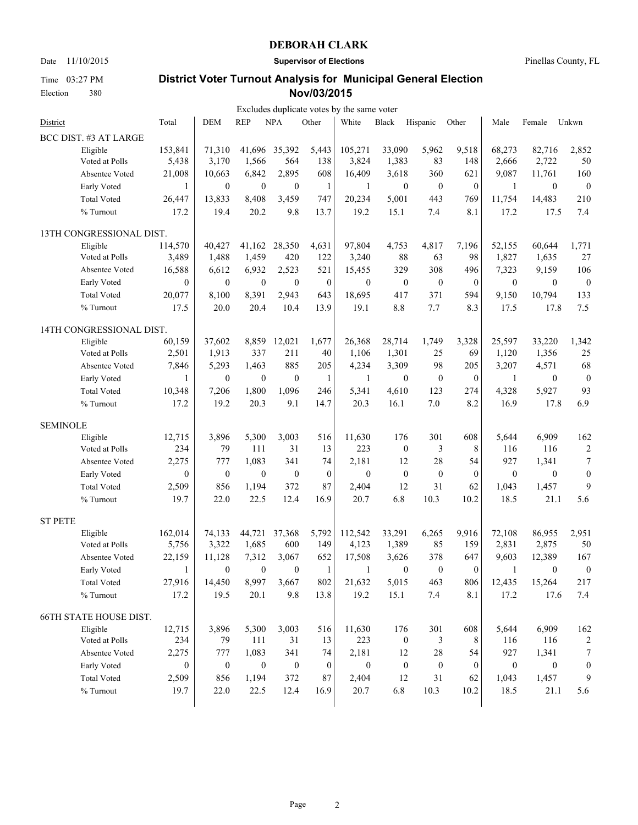Time 03:27 PM Election 380

Date 11/10/2015 **Supervisor of Elections** Pinellas County, FL

|                                  |                  |                  |                  |                  |                  | Excludes duplicate votes by the same voter |                         |                  |                  |                  |                  |                  |
|----------------------------------|------------------|------------------|------------------|------------------|------------------|--------------------------------------------|-------------------------|------------------|------------------|------------------|------------------|------------------|
| District                         | Total            | <b>DEM</b>       | <b>REP</b>       | <b>NPA</b>       | Other            | White                                      | Black                   | Hispanic         | Other            | Male             | Female           | Unkwn            |
| BCC DIST. #3 AT LARGE            |                  |                  |                  |                  |                  |                                            |                         |                  |                  |                  |                  |                  |
| Eligible                         | 153,841          | 71,310           | 41,696           | 35,392           | 5,443            | 105,271                                    | 33,090                  | 5,962            | 9,518            | 68,273           | 82,716           | 2,852            |
| Voted at Polls                   | 5,438            | 3,170            | 1,566            | 564              | 138              | 3,824                                      | 1,383                   | 83               | 148              | 2,666            | 2,722            | 50               |
| Absentee Voted                   | 21,008           | 10,663           | 6,842            | 2,895            | 608              | 16,409                                     | 3,618                   | 360              | 621              | 9,087            | 11,761           | 160              |
| Early Voted                      | 1                | $\boldsymbol{0}$ | $\boldsymbol{0}$ | $\boldsymbol{0}$ | $\mathbf{1}$     | 1                                          | $\mathbf{0}$            | $\boldsymbol{0}$ | $\theta$         | $\mathbf{1}$     | $\boldsymbol{0}$ | $\boldsymbol{0}$ |
| <b>Total Voted</b>               | 26,447           | 13,833           | 8,408            | 3,459            | 747              | 20,234                                     | 5,001                   | 443              | 769              | 11,754           | 14,483           | 210              |
| % Turnout                        | 17.2             | 19.4             | 20.2             | 9.8              | 13.7             | 19.2                                       | 15.1                    | 7.4              | 8.1              | 17.2             | 17.5             | 7.4              |
| 13TH CONGRESSIONAL DIST.         |                  |                  |                  |                  |                  |                                            |                         |                  |                  |                  |                  |                  |
| Eligible                         | 114,570          | 40,427           | 41,162           | 28,350           | 4,631            | 97,804                                     | 4,753                   | 4,817            | 7,196            | 52.155           | 60.644           | 1,771            |
| Voted at Polls                   | 3,489            | 1,488            | 1,459            | 420              | 122              | 3,240                                      | 88                      | 63               | 98               | 1,827            | 1,635            | 27               |
| Absentee Voted                   | 16,588           | 6,612            | 6,932            | 2,523            | 521              | 15,455                                     | 329                     | 308              | 496              | 7,323            | 9,159            | 106              |
| Early Voted                      | $\theta$         | $\mathbf{0}$     | $\mathbf{0}$     | $\mathbf{0}$     | $\mathbf{0}$     | $\mathbf{0}$                               | $\boldsymbol{0}$        | $\boldsymbol{0}$ | $\theta$         | $\mathbf{0}$     | $\mathbf{0}$     | $\boldsymbol{0}$ |
| <b>Total Voted</b>               | 20,077           | 8,100            | 8,391            | 2,943            | 643              | 18,695                                     | 417                     | 371              | 594              | 9,150            | 10,794           | 133              |
| % Turnout                        | 17.5             | 20.0             | 20.4             | 10.4             | 13.9             | 19.1                                       | $8.8\,$                 | 7.7              | 8.3              | 17.5             | 17.8             | 7.5              |
| 14TH CONGRESSIONAL DIST.         |                  |                  |                  |                  |                  |                                            |                         |                  |                  |                  |                  |                  |
| Eligible                         | 60,159           | 37.602           | 8,859            | 12,021           | 1,677            | 26,368                                     | 28,714                  | 1,749            | 3,328            | 25,597           | 33,220           | 1,342            |
| Voted at Polls                   | 2,501            | 1,913            | 337              | 211              | 40               | 1,106                                      | 1,301                   | 25               | 69               | 1,120            | 1,356            | 25               |
| Absentee Voted                   | 7,846            | 5,293            | 1,463            | 885              | 205              | 4,234                                      | 3,309                   | 98               | 205              | 3,207            | 4,571            | 68               |
| Early Voted                      | 1                | $\boldsymbol{0}$ | $\boldsymbol{0}$ | $\boldsymbol{0}$ | 1                | $\mathbf{1}$                               | $\mathbf{0}$            | $\boldsymbol{0}$ | $\boldsymbol{0}$ | 1                | $\mathbf{0}$     | $\boldsymbol{0}$ |
| <b>Total Voted</b>               | 10,348           | 7,206            | 1,800            | 1,096            | 246              | 5,341                                      | 4,610                   | 123              | 274              | 4,328            | 5,927            | 93               |
| % Turnout                        | 17.2             | 19.2             | 20.3             | 9.1              | 14.7             | 20.3                                       | 16.1                    | $7.0\,$          | 8.2              | 16.9             | 17.8             | 6.9              |
| <b>SEMINOLE</b>                  |                  |                  |                  |                  |                  |                                            |                         |                  |                  |                  |                  |                  |
| Eligible                         | 12,715           | 3,896            | 5,300            | 3,003            | 516              | 11,630                                     | 176                     | 301              | 608              | 5,644            | 6,909            | 162              |
| Voted at Polls                   | 234              | 79               | 111              | 31               | 13               | 223                                        | $\mathbf{0}$            | 3                | 8                | 116              | 116              | $\boldsymbol{2}$ |
| Absentee Voted                   | 2,275            | 777              | 1,083            | 341              | 74               | 2,181                                      | 12                      | 28               | 54               | 927              | 1,341            | 7                |
| Early Voted                      | $\boldsymbol{0}$ | $\boldsymbol{0}$ | $\boldsymbol{0}$ | $\boldsymbol{0}$ | $\boldsymbol{0}$ | $\boldsymbol{0}$                           | $\boldsymbol{0}$        | $\boldsymbol{0}$ | $\boldsymbol{0}$ | $\boldsymbol{0}$ | $\mathbf{0}$     | $\boldsymbol{0}$ |
| <b>Total Voted</b>               | 2,509            | 856              | 1,194            | 372              | 87               | 2,404                                      | 12                      | 31               | 62               | 1,043            | 1,457            | 9                |
| % Turnout                        | 19.7             | 22.0             | 22.5             | 12.4             | 16.9             | 20.7                                       | 6.8                     | 10.3             | 10.2             | 18.5             | 21.1             | 5.6              |
| <b>ST PETE</b>                   |                  |                  |                  |                  |                  |                                            |                         |                  |                  |                  |                  |                  |
|                                  | 162,014          | 74,133           | 44,721           | 37,368           | 5,792            | 112,542                                    | 33,291                  | 6,265            | 9,916            | 72,108           | 86,955           | 2,951            |
| Eligible<br>Voted at Polls       | 5,756            | 3,322            | 1,685            | 600              | 149              | 4,123                                      | 1,389                   | 85               | 159              | 2,831            | 2,875            | 50               |
| Absentee Voted                   | 22,159           | 11,128           | 7,312            | 3,067            | 652              | 17,508                                     | 3,626                   | 378              | 647              | 9,603            | 12,389           | 167              |
| Early Voted                      |                  | $\boldsymbol{0}$ | $\boldsymbol{0}$ | $\mathbf{0}$     | 1                | 1                                          | $\boldsymbol{0}$        | $\boldsymbol{0}$ | $\boldsymbol{0}$ | 1                | $\bf{0}$         | $\boldsymbol{0}$ |
| <b>Total Voted</b>               | 27,916           | 14,450           | 8,997            | 3,667            | 802              | 21,632                                     | 5,015                   | 463              | 806              | 12,435           | 15,264           | 217              |
| % Turnout                        | 17.2             | 19.5             | 20.1             | 9.8              | 13.8             | 19.2                                       | 15.1                    | 7.4              | 8.1              | 17.2             | 17.6             | 7.4              |
|                                  |                  |                  |                  |                  |                  |                                            |                         |                  |                  |                  |                  |                  |
| <b>66TH STATE HOUSE DIST.</b>    |                  |                  |                  |                  |                  |                                            |                         |                  |                  |                  |                  |                  |
| Eligible                         | 12,715           | 3,896<br>79      | 5,300<br>111     | 3,003<br>31      | 516<br>13        | 11,630<br>223                              | 176<br>$\boldsymbol{0}$ | 301              | 608<br>8         | 5,644<br>116     | 6,909            | 162              |
| Voted at Polls<br>Absentee Voted | 234              |                  |                  | 341              | 74               |                                            | 12                      | 3                |                  | 927              | 116              | 2                |
|                                  | 2,275            | 777              | 1,083            |                  |                  | 2,181                                      |                         | 28               | 54               |                  | 1,341            | 7                |
| Early Voted                      | 0                | $\boldsymbol{0}$ | $\boldsymbol{0}$ | $\boldsymbol{0}$ | $\boldsymbol{0}$ | $\boldsymbol{0}$                           | $\boldsymbol{0}$        | $\boldsymbol{0}$ | $\mathbf{0}$     | $\boldsymbol{0}$ | $\boldsymbol{0}$ | $\boldsymbol{0}$ |
| <b>Total Voted</b>               | 2,509            | 856              | 1,194            | 372              | 87               | 2,404                                      | 12                      | 31               | 62               | 1,043            | 1,457            | 9                |
| % Turnout                        | 19.7             | 22.0             | 22.5             | 12.4             | 16.9             | 20.7                                       | 6.8                     | 10.3             | 10.2             | 18.5             | 21.1             | 5.6              |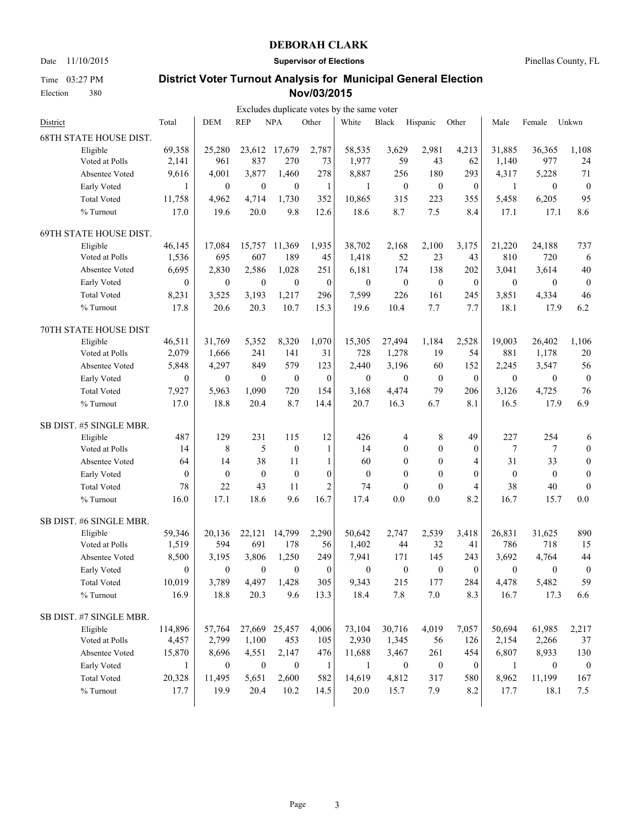Time 03:27 PM Election 380

Date 11/10/2015 **Supervisor of Elections** Pinellas County, FL

|                               |                  |                  |                  |                  |                  | Excludes duplicate votes by the same voter |                  |                  |                  |                  |                  |                  |
|-------------------------------|------------------|------------------|------------------|------------------|------------------|--------------------------------------------|------------------|------------------|------------------|------------------|------------------|------------------|
| District                      | Total            | <b>DEM</b>       | <b>REP</b>       | <b>NPA</b>       | Other            | White                                      | <b>Black</b>     | Hispanic         | Other            | Male             | Female           | Unkwn            |
| <b>68TH STATE HOUSE DIST.</b> |                  |                  |                  |                  |                  |                                            |                  |                  |                  |                  |                  |                  |
| Eligible                      | 69,358           | 25,280           |                  | 23,612 17,679    | 2,787            | 58,535                                     | 3,629            | 2,981            | 4,213            | 31,885           | 36,365           | 1,108            |
| Voted at Polls                | 2,141            | 961              | 837              | 270              | 73               | 1,977                                      | 59               | 43               | 62               | 1,140            | 977              | 24               |
| Absentee Voted                | 9,616            | 4,001            | 3,877            | 1,460            | 278              | 8,887                                      | 256              | 180              | 293              | 4,317            | 5,228            | 71               |
| Early Voted                   | 1                | $\boldsymbol{0}$ | $\boldsymbol{0}$ | $\boldsymbol{0}$ | $\mathbf{1}$     | $\mathbf{1}$                               | $\boldsymbol{0}$ | $\boldsymbol{0}$ | $\boldsymbol{0}$ | $\mathbf{1}$     | $\boldsymbol{0}$ | $\boldsymbol{0}$ |
| <b>Total Voted</b>            | 11,758           | 4,962            | 4,714            | 1,730            | 352              | 10,865                                     | 315              | 223              | 355              | 5,458            | 6,205            | 95               |
| % Turnout                     | 17.0             | 19.6             | 20.0             | 9.8              | 12.6             | 18.6                                       | 8.7              | 7.5              | 8.4              | 17.1             | 17.1             | 8.6              |
| 69TH STATE HOUSE DIST.        |                  |                  |                  |                  |                  |                                            |                  |                  |                  |                  |                  |                  |
| Eligible                      | 46,145           | 17,084           | 15,757           | 11,369           | 1,935            | 38.702                                     | 2.168            | 2,100            | 3,175            | 21,220           | 24,188           | 737              |
| Voted at Polls                | 1,536            | 695              | 607              | 189              | 45               | 1,418                                      | 52               | 23               | 43               | 810              | 720              | 6                |
| Absentee Voted                | 6,695            | 2,830            | 2,586            | 1,028            | 251              | 6,181                                      | 174              | 138              | 202              | 3,041            | 3,614            | 40               |
| Early Voted                   | $\boldsymbol{0}$ | $\boldsymbol{0}$ | $\boldsymbol{0}$ | $\mathbf{0}$     | $\mathbf{0}$     | $\boldsymbol{0}$                           | $\boldsymbol{0}$ | $\mathbf{0}$     | $\theta$         | $\mathbf{0}$     | $\mathbf{0}$     | $\boldsymbol{0}$ |
| <b>Total Voted</b>            | 8,231            | 3,525            | 3,193            | 1,217            | 296              | 7,599                                      | 226              | 161              | 245              | 3,851            | 4,334            | 46               |
| % Turnout                     | 17.8             | 20.6             | 20.3             | 10.7             | 15.3             | 19.6                                       | 10.4             | 7.7              | 7.7              | 18.1             | 17.9             | 6.2              |
| 70TH STATE HOUSE DIST         |                  |                  |                  |                  |                  |                                            |                  |                  |                  |                  |                  |                  |
| Eligible                      | 46,511           | 31,769           | 5,352            | 8,320            | 1,070            | 15,305                                     | 27,494           | 1,184            | 2,528            | 19,003           | 26,402           | 1,106            |
| Voted at Polls                | 2,079            | 1,666            | 241              | 141              | 31               | 728                                        | 1,278            | 19               | 54               | 881              | 1,178            | 20               |
| Absentee Voted                | 5,848            | 4,297            | 849              | 579              | 123              | 2,440                                      | 3,196            | 60               | 152              | 2,245            | 3,547            | 56               |
|                               | $\theta$         | $\mathbf{0}$     |                  | $\boldsymbol{0}$ | $\boldsymbol{0}$ | $\boldsymbol{0}$                           | $\mathbf{0}$     | $\boldsymbol{0}$ | $\mathbf{0}$     |                  |                  |                  |
| Early Voted                   |                  |                  | $\boldsymbol{0}$ |                  |                  |                                            |                  |                  |                  | $\boldsymbol{0}$ | $\boldsymbol{0}$ | $\boldsymbol{0}$ |
| <b>Total Voted</b>            | 7,927            | 5,963            | 1,090            | 720              | 154              | 3,168                                      | 4,474            | 79               | 206              | 3,126            | 4,725            | 76               |
| % Turnout                     | 17.0             | 18.8             | 20.4             | 8.7              | 14.4             | 20.7                                       | 16.3             | 6.7              | 8.1              | 16.5             | 17.9             | 6.9              |
| SB DIST. #5 SINGLE MBR.       |                  |                  |                  |                  |                  |                                            |                  |                  |                  |                  |                  |                  |
| Eligible                      | 487              | 129              | 231              | 115              | 12               | 426                                        | 4                | 8                | 49               | 227              | 254              | 6                |
| Voted at Polls                | 14               | 8                | 5                | $\boldsymbol{0}$ | 1                | 14                                         | $\mathbf{0}$     | $\mathbf{0}$     | $\theta$         | 7                | 7                | $\boldsymbol{0}$ |
| Absentee Voted                | 64               | 14               | 38               | 11               | $\mathbf{1}$     | 60                                         | $\mathbf{0}$     | $\theta$         | $\overline{4}$   | 31               | 33               | $\boldsymbol{0}$ |
| Early Voted                   | $\mathbf{0}$     | $\mathbf{0}$     | $\mathbf{0}$     | $\theta$         | $\boldsymbol{0}$ | $\boldsymbol{0}$                           | $\mathbf{0}$     | $\boldsymbol{0}$ | $\theta$         | $\boldsymbol{0}$ | $\mathbf{0}$     | $\boldsymbol{0}$ |
| <b>Total Voted</b>            | 78               | 22               | 43               | 11               | $\overline{2}$   | 74                                         | $\boldsymbol{0}$ | $\boldsymbol{0}$ | 4                | 38               | 40               | $\boldsymbol{0}$ |
| % Turnout                     | 16.0             | 17.1             | 18.6             | 9.6              | 16.7             | 17.4                                       | 0.0              | 0.0              | 8.2              | 16.7             | 15.7             | 0.0              |
| SB DIST. #6 SINGLE MBR.       |                  |                  |                  |                  |                  |                                            |                  |                  |                  |                  |                  |                  |
| Eligible                      | 59,346           | 20,136           | 22,121           | 14,799           | 2,290            | 50,642                                     | 2,747            | 2.539            | 3,418            | 26,831           | 31,625           | 890              |
| Voted at Polls                | 1,519            | 594              | 691              | 178              | 56               | 1,402                                      | 44               | 32               | 41               | 786              | 718              | 15               |
| Absentee Voted                | 8,500            | 3,195            | 3,806            | 1,250            | 249              | 7,941                                      | 171              | 145              | 243              | 3,692            | 4,764            | 44               |
| Early Voted                   | $\boldsymbol{0}$ | $\theta$         | $\theta$         | $\theta$         | $\boldsymbol{0}$ | $\theta$                                   | $\boldsymbol{0}$ | $\theta$         | $\boldsymbol{0}$ | $\theta$         | $\theta$         | $\boldsymbol{0}$ |
| <b>Total Voted</b>            | 10,019           | 3,789            | 4,497            | 1,428            | 305              | 9,343                                      | 215              | 177              | 284              | 4,478            | 5,482            | 59               |
| % Turnout                     | 16.9             | 18.8             | 20.3             | 9.6              | 13.3             | 18.4                                       | 7.8              | $7.0\,$          | 8.3              | 16.7             | 17.3             | 6.6              |
| SB DIST. #7 SINGLE MBR.       |                  |                  |                  |                  |                  |                                            |                  |                  |                  |                  |                  |                  |
| Eligible                      | 114,896          | 57,764           |                  | 27,669 25,457    | 4,006            | 73,104                                     | 30,716           | 4,019            | 7,057            | 50,694           | 61,985           | 2,217            |
| Voted at Polls                | 4,457            | 2,799            | 1,100            | 453              | 105              | 2,930                                      | 1,345            | 56               | 126              | 2,154            | 2,266            | 37               |
| Absentee Voted                | 15,870           | 8,696            | 4,551            | 2,147            | 476              | 11,688                                     | 3,467            | 261              | 454              | 6,807            | 8,933            | 130              |
| Early Voted                   | 1                | $\boldsymbol{0}$ | $\mathbf{0}$     | $\boldsymbol{0}$ | $\mathbf{1}$     | $\mathbf{1}$                               | $\boldsymbol{0}$ | $\boldsymbol{0}$ | $\boldsymbol{0}$ | 1                | $\boldsymbol{0}$ | $\boldsymbol{0}$ |
| <b>Total Voted</b>            | 20,328           | 11,495           |                  | 2,600            | 582              |                                            | 4,812            | 317              |                  |                  | 11,199           | 167              |
| % Turnout                     |                  |                  | 5,651            |                  |                  | 14,619                                     |                  |                  | 580              | 8,962            |                  |                  |
|                               | 17.7             | 19.9             | 20.4             | 10.2             | 14.5             | 20.0                                       | 15.7             | 7.9              | 8.2              | 17.7             | 18.1             | 7.5              |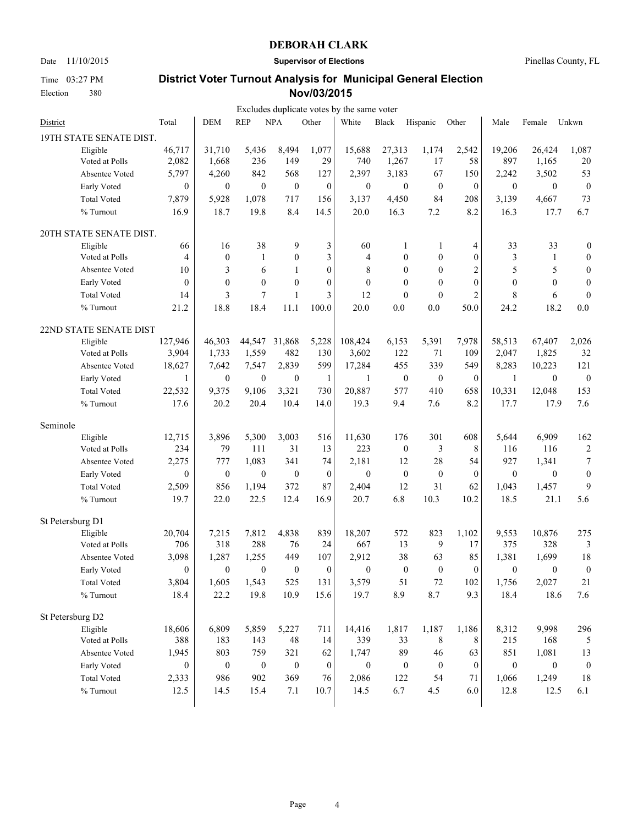Election 380

Date 11/10/2015 **Supervisor of Elections** Pinellas County, FL

## **District Voter Turnout Analysis for Municipal General Election Nov/03/2015**

|                            |                  |                  |                  |                  |                  | Excludes duplicate votes by the same voter |                  |                  |                  |                  |                  |                  |
|----------------------------|------------------|------------------|------------------|------------------|------------------|--------------------------------------------|------------------|------------------|------------------|------------------|------------------|------------------|
| District                   | Total            | <b>DEM</b>       | <b>REP</b>       | <b>NPA</b>       | Other            | White                                      | Black            | Hispanic         | Other            | Male             | Female           | Unkwn            |
| 19TH STATE SENATE DIST.    |                  |                  |                  |                  |                  |                                            |                  |                  |                  |                  |                  |                  |
| Eligible                   | 46,717           | 31,710           | 5,436            | 8,494            | 1,077            | 15,688                                     | 27,313           | 1,174            | 2,542            | 19,206           | 26,424           | 1,087            |
| Voted at Polls             | 2,082            | 1,668            | 236              | 149              | 29               | 740                                        | 1,267            | 17               | 58               | 897              | 1,165            | $20\,$           |
| Absentee Voted             | 5,797            | 4,260            | 842              | 568              | 127              | 2,397                                      | 3,183            | 67               | 150              | 2,242            | 3,502            | 53               |
| Early Voted                | $\boldsymbol{0}$ | $\boldsymbol{0}$ | $\boldsymbol{0}$ | $\mathbf{0}$     | $\boldsymbol{0}$ | $\boldsymbol{0}$                           | $\mathbf{0}$     | $\boldsymbol{0}$ | $\boldsymbol{0}$ | $\boldsymbol{0}$ | $\mathbf{0}$     | $\boldsymbol{0}$ |
| <b>Total Voted</b>         | 7,879            | 5,928            | 1,078            | 717              | 156              | 3,137                                      | 4,450            | 84               | 208              | 3,139            | 4,667            | 73               |
| % Turnout                  | 16.9             | 18.7             | 19.8             | 8.4              | 14.5             | 20.0                                       | 16.3             | 7.2              | 8.2              | 16.3             | 17.7             | 6.7              |
| 20TH STATE SENATE DIST.    |                  |                  |                  |                  |                  |                                            |                  |                  |                  |                  |                  |                  |
| Eligible                   | 66               | 16               | 38               | 9                | 3                | 60                                         | $\mathbf{1}$     | $\mathbf{1}$     | 4                | 33               | 33               | $\boldsymbol{0}$ |
| Voted at Polls             | 4                | $\boldsymbol{0}$ | 1                | $\theta$         | 3                | 4                                          | $\mathbf{0}$     | $\boldsymbol{0}$ | $\mathbf{0}$     | 3                | 1                | $\boldsymbol{0}$ |
| Absentee Voted             | 10               | 3                | 6                | $\mathbf{1}$     | $\mathbf{0}$     | 8                                          | $\theta$         | $\mathbf{0}$     | $\overline{c}$   | 5                | 5                | $\boldsymbol{0}$ |
| Early Voted                | $\theta$         | $\mathbf{0}$     | $\boldsymbol{0}$ | $\theta$         | $\mathbf{0}$     | $\mathbf{0}$                               | $\theta$         | $\mathbf{0}$     | $\theta$         | $\mathbf{0}$     | $\theta$         | $\boldsymbol{0}$ |
| <b>Total Voted</b>         | 14               | 3                | $\boldsymbol{7}$ | 1                | 3                | 12                                         | $\mathbf{0}$     | $\mathbf{0}$     | $\overline{c}$   | 8                | 6                | $\boldsymbol{0}$ |
| % Turnout                  | 21.2             | 18.8             | 18.4             | 11.1             | 100.0            | 20.0                                       | 0.0              | 0.0              | 50.0             | 24.2             | 18.2             | 0.0              |
| 22ND STATE SENATE DIST     |                  |                  |                  |                  |                  |                                            |                  |                  |                  |                  |                  |                  |
| Eligible                   | 127,946          | 46,303           | 44,547           | 31,868           | 5,228            | 108,424                                    | 6,153            | 5,391            | 7,978            | 58,513           | 67,407           | 2,026            |
| Voted at Polls             | 3,904            | 1,733            | 1,559            | 482              | 130              | 3,602                                      | 122              | 71               | 109              | 2,047            | 1,825            | 32               |
| Absentee Voted             | 18,627           | 7,642            | 7,547            | 2,839            | 599              | 17,284                                     | 455              | 339              | 549              | 8,283            | 10,223           | 121              |
| Early Voted                | 1                | $\boldsymbol{0}$ | $\boldsymbol{0}$ | $\mathbf{0}$     | $\mathbf{1}$     | 1                                          | $\boldsymbol{0}$ | $\boldsymbol{0}$ | $\boldsymbol{0}$ | $\mathbf{1}$     | $\boldsymbol{0}$ | $\boldsymbol{0}$ |
| <b>Total Voted</b>         | 22,532           | 9,375            | 9,106            | 3,321            | 730              | 20,887                                     | 577              | 410              | 658              | 10,331           | 12,048           | 153              |
| % Turnout                  | 17.6             | 20.2             | 20.4             | 10.4             | 14.0             | 19.3                                       | 9.4              | 7.6              | 8.2              | 17.7             | 17.9             | 7.6              |
| Seminole                   |                  |                  |                  |                  |                  |                                            |                  |                  |                  |                  |                  |                  |
| Eligible                   | 12,715           | 3,896            | 5,300            | 3,003            | 516              | 11,630                                     | 176              | 301              | 608              | 5,644            | 6,909            | 162              |
| Voted at Polls             | 234              | 79               | 111              | 31               | 13               | 223                                        | $\mathbf{0}$     | 3                | 8                | 116              | 116              | $\overline{c}$   |
| Absentee Voted             | 2,275            | 777              | 1,083            | 341              | 74               | 2,181                                      | 12               | 28               | 54               | 927              | 1,341            | 7                |
| Early Voted                | $\boldsymbol{0}$ | $\mathbf{0}$     | $\boldsymbol{0}$ | $\mathbf{0}$     | $\boldsymbol{0}$ | $\boldsymbol{0}$                           | $\boldsymbol{0}$ | $\boldsymbol{0}$ | $\boldsymbol{0}$ | $\boldsymbol{0}$ | $\theta$         | $\boldsymbol{0}$ |
| <b>Total Voted</b>         | 2,509            | 856              | 1,194            | 372              | 87               | 2,404                                      | 12               | 31               | 62               | 1,043            | 1,457            | 9                |
| % Turnout                  | 19.7             | 22.0             | 22.5             | 12.4             | 16.9             | 20.7                                       | 6.8              | 10.3             | 10.2             | 18.5             | 21.1             | 5.6              |
| St Petersburg D1           |                  |                  |                  |                  |                  |                                            |                  |                  |                  |                  |                  |                  |
| Eligible                   | 20,704           | 7,215            | 7,812            | 4,838            | 839              | 18,207                                     | 572              | 823              | 1,102            | 9,553            | 10,876           | 275              |
| Voted at Polls             | 706              | 318              | 288              | 76               | 24               | 667                                        | 13               | 9                | 17               | 375              | 328              | 3                |
| Absentee Voted             | 3,098            | 1,287            | 1,255            | 449              | 107              | 2,912                                      | 38               | 63               | 85               | 1,381            | 1,699            | 18               |
| Early Voted                | $\overline{0}$   | $\boldsymbol{0}$ | $\boldsymbol{0}$ | $\boldsymbol{0}$ | $\overline{0}$   | $\boldsymbol{0}$                           | $\boldsymbol{0}$ | $\boldsymbol{0}$ | $\mathbf{0}$     | $\theta$         | $\boldsymbol{0}$ | $\boldsymbol{0}$ |
| <b>Total Voted</b>         | 3,804            | 1,605            | 1,543            | 525              | 131              | 3,579                                      | 51               | $72\,$           | 102              | 1,756            | 2,027            | 21               |
| $\%$ Turnout               | 18.4             | 22.2             | 19.8             | 10.9             | 15.6             | 19.7                                       | 8.9              | 8.7              | 9.3              | 18.4             | 18.6             | 7.6              |
| St Petersburg D2           |                  |                  |                  |                  |                  |                                            |                  |                  |                  |                  |                  |                  |
|                            | 18,606           | 6,809            | 5,859            | 5,227            | 711              | 14,416                                     | 1,817            | 1,187            | 1,186            | 8,312            | 9,998            |                  |
| Eligible<br>Voted at Polls | 388              | 183              | 143              | 48               | 14               | 339                                        | 33               | 8                | 8                | 215              | 168              | 296<br>5         |
| Absentee Voted             | 1,945            | 803              | 759              | 321              | 62               | 1,747                                      | 89               | 46               | 63               | 851              | 1,081            | 13               |
|                            |                  |                  |                  |                  |                  |                                            |                  |                  |                  |                  |                  |                  |
| Early Voted                | $\boldsymbol{0}$ | $\boldsymbol{0}$ | $\boldsymbol{0}$ | $\boldsymbol{0}$ | $\boldsymbol{0}$ | $\boldsymbol{0}$                           | $\boldsymbol{0}$ | $\boldsymbol{0}$ | $\boldsymbol{0}$ | $\boldsymbol{0}$ | $\boldsymbol{0}$ | $\boldsymbol{0}$ |
| <b>Total Voted</b>         | 2,333            | 986              | 902              | 369              | 76               | 2,086                                      | 122              | 54               | 71               | 1,066            | 1,249            | 18               |
| $\%$ Turnout               | 12.5             | 14.5             | 15.4             | 7.1              | 10.7             | 14.5                                       | 6.7              | 4.5              | 6.0              | 12.8             | 12.5             | 6.1              |

Time 03:27 PM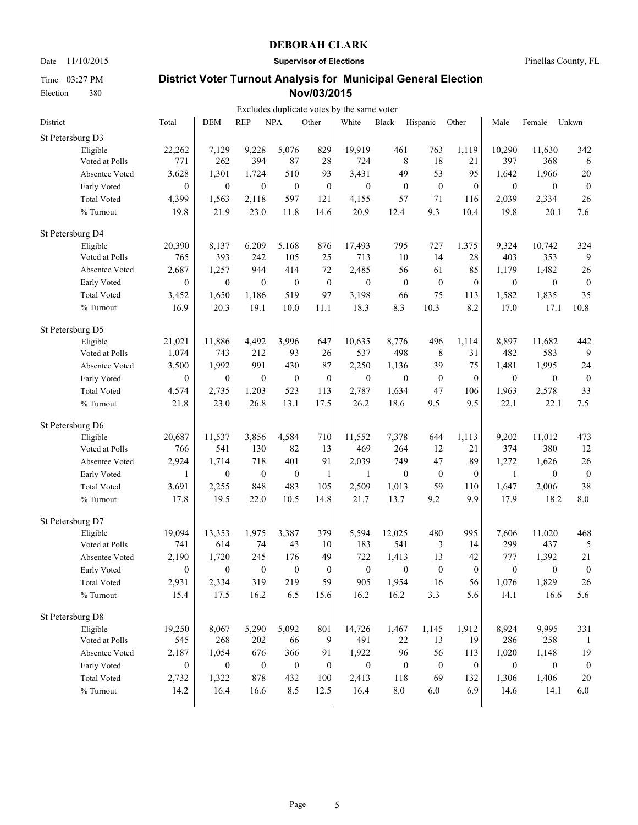Time 03:27 PM Election 380

Date 11/10/2015 **Supervisor of Elections** Pinellas County, FL

|                    |                  |                  |                  |                  |                  | Excludes duplicate votes by the same voter |                  |                  |                  |                  |                  |                  |
|--------------------|------------------|------------------|------------------|------------------|------------------|--------------------------------------------|------------------|------------------|------------------|------------------|------------------|------------------|
| District           | Total            | <b>DEM</b>       | <b>REP</b>       | <b>NPA</b>       | Other            | White                                      | Black            | Hispanic         | Other            | Male             | Female           | Unkwn            |
| St Petersburg D3   |                  |                  |                  |                  |                  |                                            |                  |                  |                  |                  |                  |                  |
| Eligible           | 22,262           | 7,129            | 9,228            | 5,076            | 829              | 19,919                                     | 461              | 763              | 1,119            | 10,290           | 11,630           | 342              |
| Voted at Polls     | 771              | 262              | 394              | 87               | 28               | 724                                        | $\,$ 8 $\,$      | 18               | 21               | 397              | 368              | 6                |
| Absentee Voted     | 3,628            | 1,301            | 1,724            | 510              | 93               | 3,431                                      | 49               | 53               | 95               | 1,642            | 1,966            | 20               |
| Early Voted        | $\boldsymbol{0}$ | $\boldsymbol{0}$ | $\boldsymbol{0}$ | $\boldsymbol{0}$ | $\boldsymbol{0}$ | $\boldsymbol{0}$                           | $\boldsymbol{0}$ | $\boldsymbol{0}$ | $\mathbf{0}$     | $\boldsymbol{0}$ | $\mathbf{0}$     | $\boldsymbol{0}$ |
| <b>Total Voted</b> | 4,399            | 1,563            | 2,118            | 597              | 121              | 4,155                                      | 57               | 71               | 116              | 2,039            | 2,334            | 26               |
| % Turnout          | 19.8             | 21.9             | 23.0             | 11.8             | 14.6             | 20.9                                       | 12.4             | 9.3              | 10.4             | 19.8             | 20.1             | 7.6              |
| St Petersburg D4   |                  |                  |                  |                  |                  |                                            |                  |                  |                  |                  |                  |                  |
| Eligible           | 20,390           | 8,137            | 6,209            | 5,168            | 876              | 17,493                                     | 795              | 727              | 1,375            | 9,324            | 10,742           | 324              |
| Voted at Polls     | 765              | 393              | 242              | 105              | 25               | 713                                        | 10               | 14               | 28               | 403              | 353              | 9                |
| Absentee Voted     | 2,687            | 1,257            | 944              | 414              | 72               | 2,485                                      | 56               | 61               | 85               | 1,179            | 1,482            | 26               |
| Early Voted        | $\boldsymbol{0}$ | $\boldsymbol{0}$ | $\mathbf{0}$     | $\boldsymbol{0}$ | $\mathbf{0}$     | $\boldsymbol{0}$                           | $\mathbf{0}$     | $\boldsymbol{0}$ | $\mathbf{0}$     | $\boldsymbol{0}$ | $\theta$         | $\boldsymbol{0}$ |
| <b>Total Voted</b> | 3,452            | 1,650            | 1,186            | 519              | 97               | 3,198                                      | 66               | 75               | 113              | 1,582            | 1,835            | 35               |
| % Turnout          | 16.9             | 20.3             | 19.1             | 10.0             | 11.1             | 18.3                                       | 8.3              | 10.3             | 8.2              | 17.0             | 17.1             | 10.8             |
| St Petersburg D5   |                  |                  |                  |                  |                  |                                            |                  |                  |                  |                  |                  |                  |
| Eligible           | 21,021           | 11,886           | 4,492            | 3,996            | 647              | 10,635                                     | 8,776            | 496              | 1,114            | 8,897            | 11,682           | 442              |
| Voted at Polls     | 1,074            | 743              | 212              | 93               | 26               | 537                                        | 498              | 8                | 31               | 482              | 583              | 9                |
| Absentee Voted     | 3,500            | 1,992            | 991              | 430              | 87               | 2,250                                      | 1,136            | 39               | 75               | 1,481            | 1,995            | 24               |
| Early Voted        | $\boldsymbol{0}$ | $\boldsymbol{0}$ | $\boldsymbol{0}$ | $\boldsymbol{0}$ | $\boldsymbol{0}$ | $\boldsymbol{0}$                           | $\boldsymbol{0}$ | $\boldsymbol{0}$ | $\mathbf{0}$     | $\boldsymbol{0}$ | $\boldsymbol{0}$ | $\boldsymbol{0}$ |
| <b>Total Voted</b> | 4,574            | 2,735            | 1,203            | 523              | 113              | 2,787                                      | 1,634            | 47               | 106              | 1,963            | 2,578            | 33               |
| % Turnout          | 21.8             | 23.0             | 26.8             | 13.1             | 17.5             | 26.2                                       | 18.6             | 9.5              | 9.5              | 22.1             | 22.1             | 7.5              |
| St Petersburg D6   |                  |                  |                  |                  |                  |                                            |                  |                  |                  |                  |                  |                  |
| Eligible           | 20,687           | 11,537           | 3,856            | 4,584            | 710              | 11,552                                     | 7,378            | 644              | 1,113            | 9,202            | 11,012           | 473              |
| Voted at Polls     | 766              | 541              | 130              | 82               | 13               | 469                                        | 264              | 12               | 21               | 374              | 380              | 12               |
| Absentee Voted     | 2,924            | 1,714            | 718              | 401              | 91               | 2,039                                      | 749              | 47               | 89               | 1,272            | 1,626            | 26               |
| Early Voted        | 1                | $\boldsymbol{0}$ | $\mathbf{0}$     | $\boldsymbol{0}$ | $\mathbf{1}$     | $\mathbf{1}$                               | $\boldsymbol{0}$ | $\boldsymbol{0}$ | $\mathbf{0}$     | $\mathbf{1}$     | $\mathbf{0}$     | $\boldsymbol{0}$ |
| <b>Total Voted</b> | 3,691            | 2,255            | 848              | 483              | 105              | 2,509                                      | 1,013            | 59               | 110              | 1,647            | 2,006            | 38               |
| % Turnout          | 17.8             | 19.5             | 22.0             | 10.5             | 14.8             | 21.7                                       | 13.7             | 9.2              | 9.9              | 17.9             | 18.2             | 8.0              |
| St Petersburg D7   |                  |                  |                  |                  |                  |                                            |                  |                  |                  |                  |                  |                  |
| Eligible           | 19,094           | 13,353           | 1,975            | 3,387            | 379              | 5,594                                      | 12,025           | 480              | 995              | 7,606            | 11,020           | 468              |
| Voted at Polls     | 741              | 614              | 74               | 43               | 10               | 183                                        | 541              | 3                | 14               | 299              | 437              | 5                |
| Absentee Voted     | 2,190            | 1,720            | 245              | 176              | 49               | 722                                        | 1,413            | 13               | 42               | 777              | 1,392            | 21               |
| Early Voted        | $\boldsymbol{0}$ | $\theta$         | $\theta$         | $\bf{0}$         | $\boldsymbol{0}$ | $\boldsymbol{0}$                           | $\theta$         | $\theta$         | 0                | $\theta$         | $\theta$         | $\boldsymbol{0}$ |
| <b>Total Voted</b> | 2,931            | 2,334            | 319              | 219              | 59               | 905                                        | 1,954            | 16               | 56               | 1,076            | 1,829            | 26               |
| % Turnout          | 15.4             | 17.5             | 16.2             | 6.5              | 15.6             | 16.2                                       | 16.2             | 3.3              | 5.6              | 14.1             | 16.6             | 5.6              |
| St Petersburg D8   |                  |                  |                  |                  |                  |                                            |                  |                  |                  |                  |                  |                  |
| Eligible           | 19,250           | 8,067            | 5,290            | 5,092            | 801              | 14,726                                     | 1,467            | 1,145            | 1,912            | 8,924            | 9,995            | 331              |
| Voted at Polls     | 545              | 268              | 202              | 66               | 9                | 491                                        | 22               | 13               | 19               | 286              | 258              | -1               |
| Absentee Voted     | 2,187            | 1,054            | 676              | 366              | 91               | 1,922                                      | 96               | 56               | 113              | 1,020            | 1,148            | 19               |
| Early Voted        | $\boldsymbol{0}$ | $\boldsymbol{0}$ | $\boldsymbol{0}$ | $\boldsymbol{0}$ | $\boldsymbol{0}$ | $\boldsymbol{0}$                           | $\boldsymbol{0}$ | $\boldsymbol{0}$ | $\boldsymbol{0}$ | $\boldsymbol{0}$ | $\boldsymbol{0}$ | $\boldsymbol{0}$ |
| <b>Total Voted</b> | 2,732            | 1,322            | 878              | 432              | 100              | 2,413                                      | 118              | 69               | 132              | 1,306            | 1,406            | $20\,$           |
| % Turnout          | 14.2             | 16.4             | 16.6             | 8.5              | 12.5             | 16.4                                       | $\ \, 8.0$       | 6.0              | 6.9              | 14.6             | 14.1             | 6.0              |
|                    |                  |                  |                  |                  |                  |                                            |                  |                  |                  |                  |                  |                  |